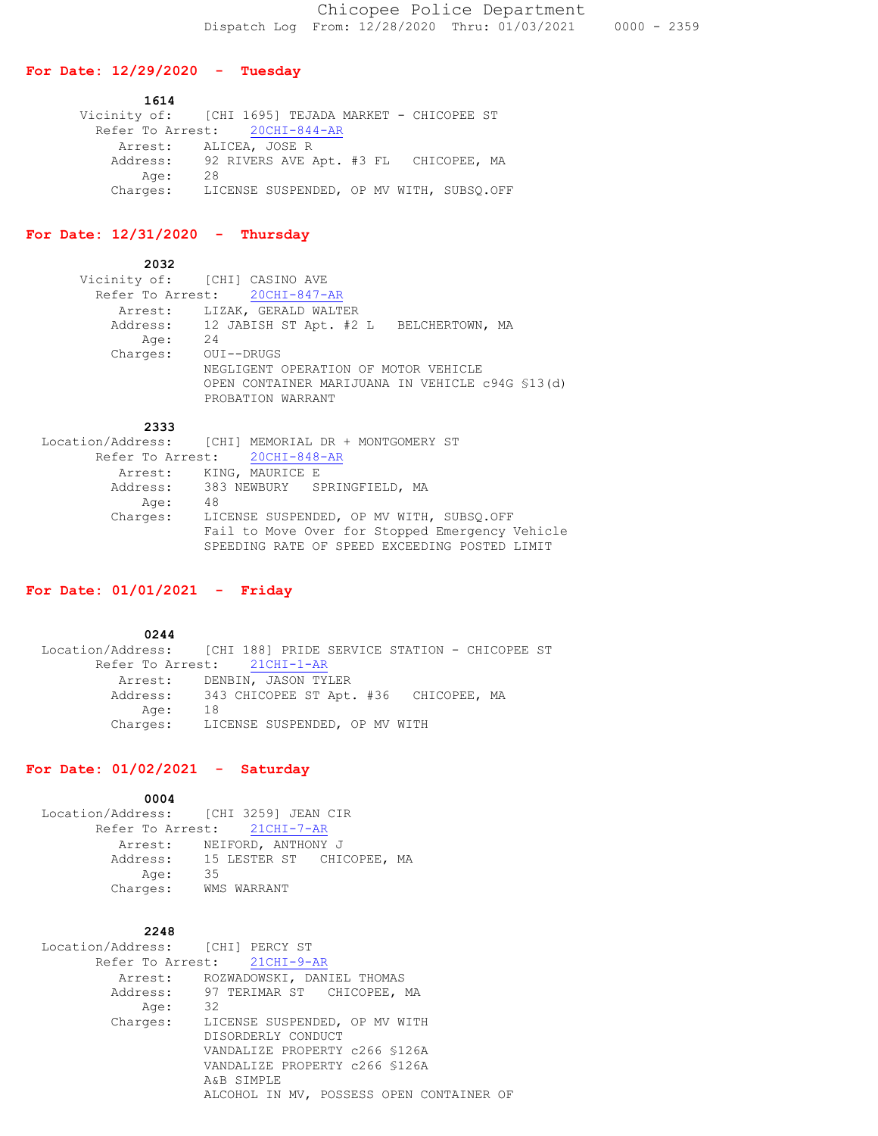#### **For Date: 12/29/2020 - Tuesday**

 **1614** Vicinity of: [CHI 1695] TEJADA MARKET - CHICOPEE ST Refer To Arrest:  $20CHI-844-AR$  Arrest: ALICEA, JOSE R Address: 92 RIVERS AVE Apt. #3 FL CHICOPEE, MA Age: 28 Charges: LICENSE SUSPENDED, OP MV WITH, SUBSQ.OFF

# **For Date: 12/31/2020 - Thursday**

 **2032** Vicinity of: [CHI] CASINO AVE Refer To Arrest: 20CHI-847-AR Arrest: LIZAK, GERALD WALTER Address: 12 JABISH ST Apt. #2 L BELCHERTOWN, MA Age: 24 Charges: OUI--DRUGS NEGLIGENT OPERATION OF MOTOR VEHICLE OPEN CONTAINER MARIJUANA IN VEHICLE c94G §13(d) PROBATION WARRANT

#### **2333**

|          | Location/Address: [CHI] MEMORIAL DR + MONTGOMERY ST |
|----------|-----------------------------------------------------|
|          | Refer To Arrest: 20CHI-848-AR                       |
|          | Arrest: KING, MAURICE E                             |
|          | Address: 383 NEWBURY SPRINGFIELD, MA                |
| Age:     | 48                                                  |
| Charges: | LICENSE SUSPENDED, OP MV WITH, SUBSO.OFF            |
|          | Fail to Move Over for Stopped Emergency Vehicle     |
|          | SPEEDING RATE OF SPEED EXCEEDING POSTED LIMIT       |

## **For Date: 01/01/2021 - Friday**

 **0244** Location/Address: [CHI 188] PRIDE SERVICE STATION - CHICOPEE ST Refer To Arrest: 21CHI-1-AR Arrest: DENBIN, JASON TYLER Address: 343 CHICOPEE ST Apt. #36 CHICOPEE, MA Age: 18 Charges: LICENSE SUSPENDED, OP MV WITH

#### **For Date: 01/02/2021 - Saturday**

| 0004                                  |                                    |  |  |
|---------------------------------------|------------------------------------|--|--|
| Location/Address: [CHI 3259] JEAN CIR |                                    |  |  |
| Refer To Arrest: 21CHI-7-AR           |                                    |  |  |
|                                       | Arrest: NEIFORD, ANTHONY J         |  |  |
|                                       | Address: 15 LESTER ST CHICOPEE, MA |  |  |
| Age:                                  | 35                                 |  |  |
| Charges:                              | WMS WARRANT                        |  |  |

## **2248**

 Location/Address: [CHI] PERCY ST Refer To Arrest: 21CHI-9-AR Arrest: ROZWADOWSKI, DANIEL THOMAS Address: 97 TERIMAR ST CHICOPEE, MA Age: 32 Charges: LICENSE SUSPENDED, OP MV WITH DISORDERLY CONDUCT VANDALIZE PROPERTY c266 §126A VANDALIZE PROPERTY c266 §126A A&B SIMPLE ALCOHOL IN MV, POSSESS OPEN CONTAINER OF